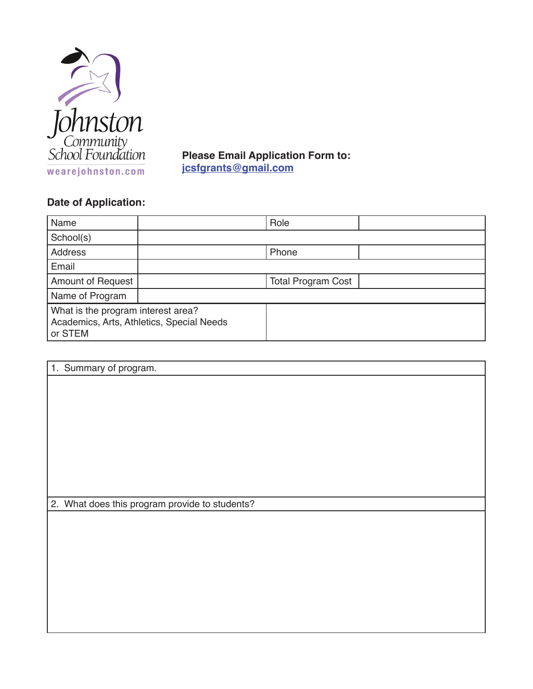

**Please Email Application Form to: jcsfgrants@gmail.com**

## **Date of Application:**

| Name                                                                                       |  | Role                      |  |
|--------------------------------------------------------------------------------------------|--|---------------------------|--|
| School(s)                                                                                  |  |                           |  |
| <b>Address</b>                                                                             |  | Phone                     |  |
| Email                                                                                      |  |                           |  |
| <b>Amount of Request</b>                                                                   |  | <b>Total Program Cost</b> |  |
| Name of Program                                                                            |  |                           |  |
| What is the program interest area?<br>Academics, Arts, Athletics, Special Needs<br>or STEM |  |                           |  |

| 1. Summary of program.                         |
|------------------------------------------------|
|                                                |
|                                                |
|                                                |
|                                                |
|                                                |
|                                                |
|                                                |
|                                                |
|                                                |
|                                                |
|                                                |
|                                                |
| 2. What does this program provide to students? |
|                                                |
|                                                |
|                                                |
|                                                |
|                                                |
|                                                |
|                                                |
|                                                |
|                                                |
|                                                |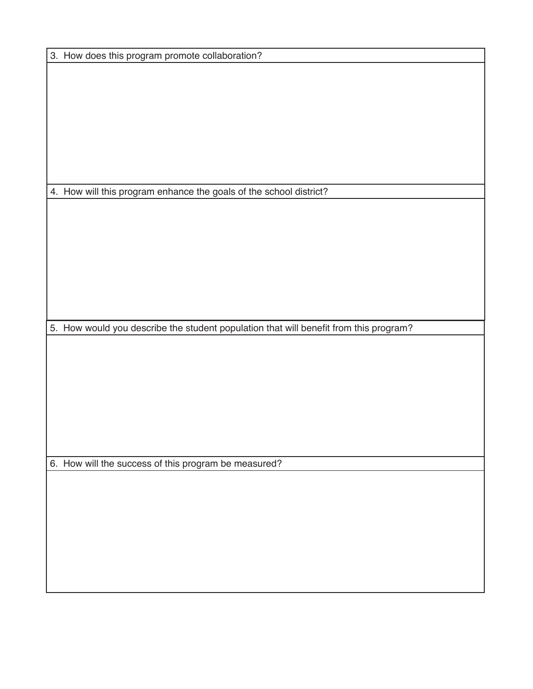3. How does this program promote collaboration? 4. How will this program enhance the goals of the school district? 5. How would you describe the student population that will benefit from this program? 6. How will the success of this program be measured?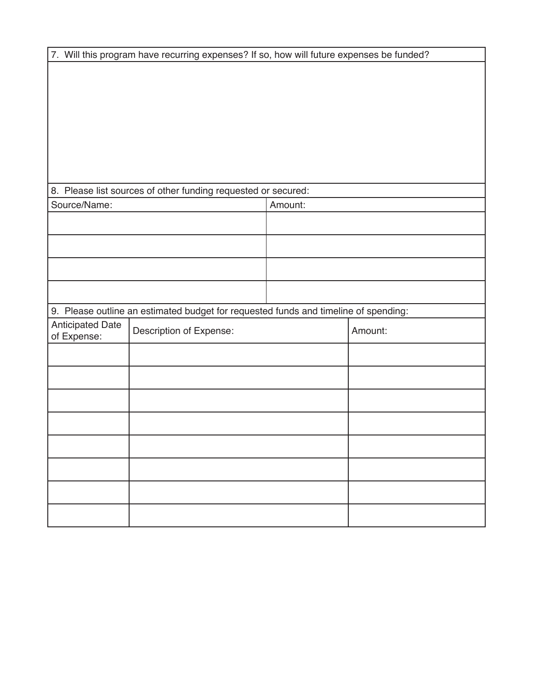| 7. Will this program have recurring expenses? If so, how will future expenses be funded? |                         |         |         |  |
|------------------------------------------------------------------------------------------|-------------------------|---------|---------|--|
|                                                                                          |                         |         |         |  |
|                                                                                          |                         |         |         |  |
|                                                                                          |                         |         |         |  |
|                                                                                          |                         |         |         |  |
|                                                                                          |                         |         |         |  |
|                                                                                          |                         |         |         |  |
|                                                                                          |                         |         |         |  |
| 8. Please list sources of other funding requested or secured:<br>Source/Name:            |                         | Amount: |         |  |
|                                                                                          |                         |         |         |  |
|                                                                                          |                         |         |         |  |
|                                                                                          |                         |         |         |  |
|                                                                                          |                         |         |         |  |
|                                                                                          |                         |         |         |  |
| 9. Please outline an estimated budget for requested funds and timeline of spending:      |                         |         |         |  |
| <b>Anticipated Date</b><br>of Expense:                                                   | Description of Expense: |         | Amount: |  |
|                                                                                          |                         |         |         |  |
|                                                                                          |                         |         |         |  |
|                                                                                          |                         |         |         |  |
|                                                                                          |                         |         |         |  |
|                                                                                          |                         |         |         |  |
|                                                                                          |                         |         |         |  |
|                                                                                          |                         |         |         |  |
|                                                                                          |                         |         |         |  |